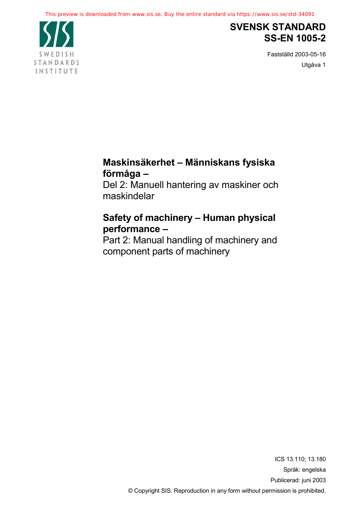

## **SVENSK STANDARD SS-EN 1005-2**

Fastställd 2003-05-16 Utgåva 1

## **Maskinsäkerhet – Människans fysiska förmåga –**

Del 2: Manuell hantering av maskiner och maskindelar

## **Safety of machinery – Human physical performance –**

Part 2: Manual handling of machinery and component parts of machinery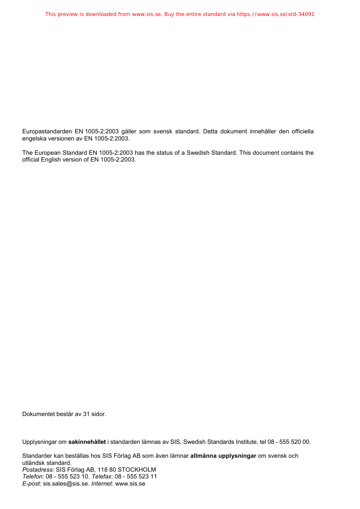Europastandarden EN 1005-2:2003 gäller som svensk standard. Detta dokument innehåller den officiella engelska versionen av EN 1005-2:2003.

The European Standard EN 1005-2:2003 has the status of a Swedish Standard. This document contains the official English version of EN 1005-2:2003.

Dokumentet består av 31 sidor.

Upplysningar om **sakinnehållet** i standarden lämnas av SIS, Swedish Standards Institute, tel 08 - 555 520 00.

Standarder kan beställas hos SIS Förlag AB som även lämnar **allmänna upplysningar** om svensk och utländsk standard. *Postadress*: SIS Förlag AB, 118 80 STOCKHOLM *Telefon*: 08 - 555 523 10. *Telefax*: 08 - 555 523 11 *E-post*: sis.sales@sis.se. *Internet*: www.sis.se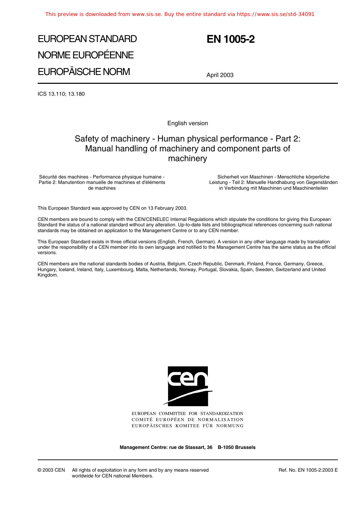# EUROPEAN STANDARD NORME EUROPÉENNE EUROPÄISCHE NORM

## **EN 1005-2**

April 2003

ICS 13.110; 13.180

English version

### Safety of machinery - Human physical performance - Part 2: Manual handling of machinery and component parts of machinery

Sécurité des machines - Performance physique humaine - Partie 2: Manutention manuelle de machines et d'éléments de machines

Sicherheit von Maschinen - Menschliche körperliche Leistung - Teil 2: Manuelle Handhabung von Gegenständen in Verbindung mit Maschinen und Maschinenteilen

This European Standard was approved by CEN on 13 February 2003.

CEN members are bound to comply with the CEN/CENELEC Internal Regulations which stipulate the conditions for giving this European Standard the status of a national standard without any alteration. Up-to-date lists and bibliographical references concerning such national standards may be obtained on application to the Management Centre or to any CEN member.

This European Standard exists in three official versions (English, French, German). A version in any other language made by translation under the responsibility of a CEN member into its own language and notified to the Management Centre has the same status as the official versions.

CEN members are the national standards bodies of Austria, Belgium, Czech Republic, Denmark, Finland, France, Germany, Greece, Hungary, Iceland, Ireland, Italy, Luxembourg, Malta, Netherlands, Norway, Portugal, Slovakia, Spain, Sweden, Switzerland and United Kingdom.



EUROPEAN COMMITTEE FOR STANDARDIZATION COMITÉ EUROPÉEN DE NORMALISATION EUROPÄISCHES KOMITEE FÜR NORMUNG

**Management Centre: rue de Stassart, 36 B-1050 Brussels**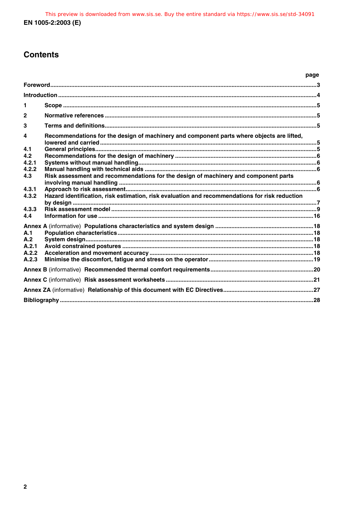### **Contents**

|                |                                                                                                | page |  |
|----------------|------------------------------------------------------------------------------------------------|------|--|
|                |                                                                                                |      |  |
|                |                                                                                                |      |  |
| 1              |                                                                                                |      |  |
| $\overline{2}$ |                                                                                                |      |  |
| 3              |                                                                                                |      |  |
| 4<br>4.1       | Recommendations for the design of machinery and component parts where objects are lifted,      |      |  |
| 4.2            |                                                                                                |      |  |
| 4.2.1          |                                                                                                |      |  |
| 4.2.2          |                                                                                                |      |  |
| 4.3            | Risk assessment and recommendations for the design of machinery and component parts            |      |  |
| 4.3.1          |                                                                                                |      |  |
| 4.3.2          | Hazard identification, risk estimation, risk evaluation and recommendations for risk reduction |      |  |
|                |                                                                                                |      |  |
| 4.3.3          |                                                                                                |      |  |
| 4.4            |                                                                                                |      |  |
|                |                                                                                                |      |  |
| A.1<br>A.2     |                                                                                                |      |  |
| A.2.1          |                                                                                                |      |  |
| A.2.2          |                                                                                                |      |  |
| A.2.3          |                                                                                                |      |  |
|                |                                                                                                |      |  |
|                |                                                                                                |      |  |
|                |                                                                                                |      |  |
|                |                                                                                                |      |  |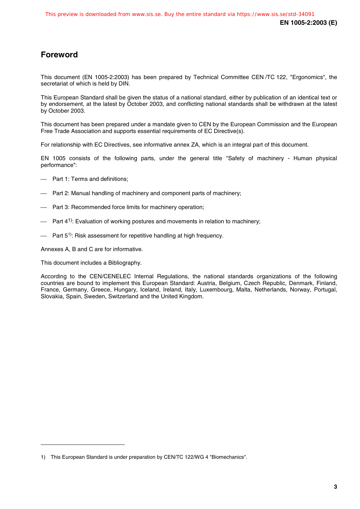### **Foreword**

This document (EN 1005-2:2003) has been prepared by Technical Committee CEN /TC 122, "Ergonomics", the secretariat of which is held by DIN.

This European Standard shall be given the status of a national standard, either by publication of an identical text or by endorsement, at the latest by October 2003, and conflicting national standards shall be withdrawn at the latest by October 2003.

This document has been prepared under a mandate given to CEN by the European Commission and the European Free Trade Association and supports essential requirements of EC Directive(s).

For relationship with EC Directives, see informative annex ZA, which is an integral part of this document.

EN 1005 consists of the following parts, under the general title "Safety of machinery - Human physical performance":

- Part 1: Terms and definitions;
- Part 2: Manual handling of machinery and component parts of machinery;
- Part 3: Recommended force limits for machinery operation;
- Part 4<sup>1)</sup>: Evaluation of working postures and movements in relation to machinery;
- Part  $5^{1}$ : Risk assessment for repetitive handling at high frequency.

Annexes A, B and C are for informative.

This document includes a Bibliography.

j

According to the CEN/CENELEC Internal Regulations, the national standards organizations of the following countries are bound to implement this European Standard: Austria, Belgium, Czech Republic, Denmark, Finland, France, Germany, Greece, Hungary, Iceland, Ireland, Italy, Luxembourg, Malta, Netherlands, Norway, Portugal, Slovakia, Spain, Sweden, Switzerland and the United Kingdom.

<sup>1)</sup> This European Standard is under preparation by CEN/TC 122/WG 4 "Biomechanics".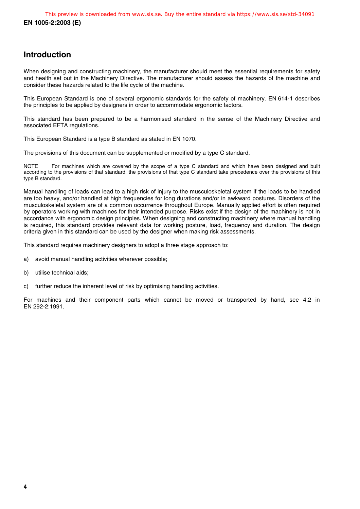### **Introduction**

When designing and constructing machinery, the manufacturer should meet the essential requirements for safety and health set out in the Machinery Directive. The manufacturer should assess the hazards of the machine and consider these hazards related to the life cycle of the machine.

This European Standard is one of several ergonomic standards for the safety of machinery. EN 614-1 describes the principles to be applied by designers in order to accommodate ergonomic factors.

This standard has been prepared to be a harmonised standard in the sense of the Machinery Directive and associated EFTA regulations.

This European Standard is a type B standard as stated in EN 1070.

The provisions of this document can be supplemented or modified by a type C standard.

NOTE For machines which are covered by the scope of a type C standard and which have been designed and built according to the provisions of that standard, the provisions of that type C standard take precedence over the provisions of this type B standard.

Manual handling of loads can lead to a high risk of injury to the musculoskeletal system if the loads to be handled are too heavy, and/or handled at high frequencies for long durations and/or in awkward postures. Disorders of the musculoskeletal system are of a common occurrence throughout Europe. Manually applied effort is often required by operators working with machines for their intended purpose. Risks exist if the design of the machinery is not in accordance with ergonomic design principles. When designing and constructing machinery where manual handling is required, this standard provides relevant data for working posture, load, frequency and duration. The design criteria given in this standard can be used by the designer when making risk assessments.

This standard requires machinery designers to adopt a three stage approach to:

- a) avoid manual handling activities wherever possible;
- b) utilise technical aids;
- c) further reduce the inherent level of risk by optimising handling activities.

For machines and their component parts which cannot be moved or transported by hand, see 4.2 in EN 292-2:1991.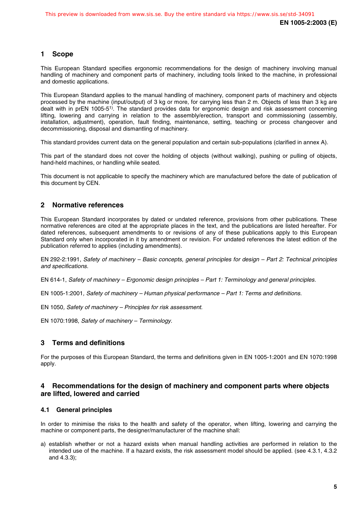#### **1 Scope**

This European Standard specifies ergonomic recommendations for the design of machinery involving manual handling of machinery and component parts of machinery, including tools linked to the machine, in professional and domestic applications.

This European Standard applies to the manual handling of machinery, component parts of machinery and objects processed by the machine (input/output) of 3 kg or more, for carrying less than 2 m. Objects of less than 3 kg are dealt with in prEN 1005-51). The standard provides data for ergonomic design and risk assessment concerning lifting, lowering and carrying in relation to the assembly/erection, transport and commissioning (assembly, installation, adjustment), operation, fault finding, maintenance, setting, teaching or process changeover and decommissioning, disposal and dismantling of machinery.

This standard provides current data on the general population and certain sub-populations (clarified in annex A).

This part of the standard does not cover the holding of objects (without walking), pushing or pulling of objects, hand-held machines, or handling while seated.

This document is not applicable to specify the machinery which are manufactured before the date of publication of this document by CEN.

#### **2 Normative references**

This European Standard incorporates by dated or undated reference, provisions from other publications. These normative references are cited at the appropriate places in the text, and the publications are listed hereafter. For dated references, subsequent amendments to or revisions of any of these publications apply to this European Standard only when incorporated in it by amendment or revision. For undated references the latest edition of the publication referred to applies (including amendments).

EN 292-2:1991, Safety of machinery – Basic concepts, general principles for design – Part 2: Technical principles and specifications.

EN 614-1, Safety of machinery – Ergonomic design principles – Part 1: Terminology and general principles.

EN 1005-1:2001, Safety of machinery – Human physical performance – Part 1: Terms and definitions.

EN 1050, Safety of machinery – Principles for risk assessment.

EN 1070:1998, Safety of machinery – Terminology.

#### **3 Terms and definitions**

For the purposes of this European Standard, the terms and definitions given in EN 1005-1:2001 and EN 1070:1998 apply.

#### **4 Recommendations for the design of machinery and component parts where objects are lifted, lowered and carried**

#### **4.1 General principles**

In order to minimise the risks to the health and safety of the operator, when lifting, lowering and carrying the machine or component parts, the designer/manufacturer of the machine shall:

a) establish whether or not a hazard exists when manual handling activities are performed in relation to the intended use of the machine. If a hazard exists, the risk assessment model should be applied. (see 4.3.1, 4.3.2 and 4.3.3);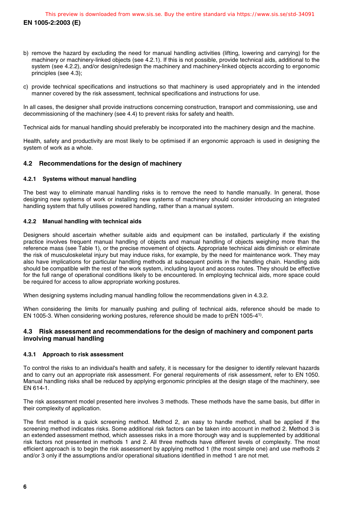- b) remove the hazard by excluding the need for manual handling activities (lifting, lowering and carrying) for the machinery or machinery-linked objects (see 4.2.1). If this is not possible, provide technical aids, additional to the system (see 4.2.2), and/or design/redesign the machinery and machinery-linked objects according to ergonomic principles (see 4.3);
- c) provide technical specifications and instructions so that machinery is used appropriately and in the intended manner covered by the risk assessment, technical specifications and instructions for use.

In all cases, the designer shall provide instructions concerning construction, transport and commissioning, use and decommissioning of the machinery (see 4.4) to prevent risks for safety and health.

Technical aids for manual handling should preferably be incorporated into the machinery design and the machine.

Health, safety and productivity are most likely to be optimised if an ergonomic approach is used in designing the system of work as a whole.

#### **4.2 Recommendations for the design of machinery**

#### **4.2.1 Systems without manual handling**

The best way to eliminate manual handling risks is to remove the need to handle manually. In general, those designing new systems of work or installing new systems of machinery should consider introducing an integrated handling system that fully utilises powered handling, rather than a manual system.

#### **4.2.2 Manual handling with technical aids**

Designers should ascertain whether suitable aids and equipment can be installed, particularly if the existing practice involves frequent manual handling of objects and manual handling of objects weighing more than the reference mass (see Table 1), or the precise movement of objects. Appropriate technical aids diminish or eliminate the risk of musculoskeletal injury but may induce risks, for example, by the need for maintenance work. They may also have implications for particular handling methods at subsequent points in the handling chain. Handling aids should be compatible with the rest of the work system, including layout and access routes. They should be effective for the full range of operational conditions likely to be encountered. In employing technical aids, more space could be required for access to allow appropriate working postures.

When designing systems including manual handling follow the recommendations given in 4.3.2.

When considering the limits for manually pushing and pulling of technical aids, reference should be made to EN 1005-3. When considering working postures, reference should be made to prEN 1005-41).

#### **4.3 Risk assessment and recommendations for the design of machinery and component parts involving manual handling**

#### **4.3.1 Approach to risk assessment**

To control the risks to an individual's health and safety, it is necessary for the designer to identify relevant hazards and to carry out an appropriate risk assessment. For general requirements of risk assessment, refer to EN 1050. Manual handling risks shall be reduced by applying ergonomic principles at the design stage of the machinery, see EN 614-1.

The risk assessment model presented here involves 3 methods. These methods have the same basis, but differ in their complexity of application.

The first method is a quick screening method. Method 2, an easy to handle method, shall be applied if the screening method indicates risks. Some additional risk factors can be taken into account in method 2. Method 3 is an extended assessment method, which assesses risks in a more thorough way and is supplemented by additional risk factors not presented in methods 1 and 2. All three methods have different levels of complexity. The most efficient approach is to begin the risk assessment by applying method 1 (the most simple one) and use methods 2 and/or 3 only if the assumptions and/or operational situations identified in method 1 are not met.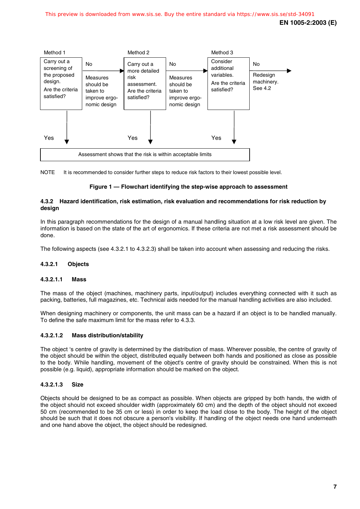

NOTE It is recommended to consider further steps to reduce risk factors to their lowest possible level.

#### **Figure 1 — Flowchart identifying the step-wise approach to assessment**

#### **4.3.2 Hazard identification, risk estimation, risk evaluation and recommendations for risk reduction by design**

In this paragraph recommendations for the design of a manual handling situation at a low risk level are given. The information is based on the state of the art of ergonomics. If these criteria are not met a risk assessment should be done.

The following aspects (see 4.3.2.1 to 4.3.2.3) shall be taken into account when assessing and reducing the risks.

#### **4.3.2.1 Objects**

#### **4.3.2.1.1 Mass**

The mass of the object (machines, machinery parts, input/output) includes everything connected with it such as packing, batteries, full magazines, etc. Technical aids needed for the manual handling activities are also included.

When designing machinery or components, the unit mass can be a hazard if an object is to be handled manually. To define the safe maximum limit for the mass refer to 4.3.3.

#### **4.3.2.1.2 Mass distribution/stability**

The object 's centre of gravity is determined by the distribution of mass. Wherever possible, the centre of gravity of the object should be within the object, distributed equally between both hands and positioned as close as possible to the body. While handling, movement of the object's centre of gravity should be constrained. When this is not possible (e.g. liquid), appropriate information should be marked on the object.

#### **4.3.2.1.3 Size**

Objects should be designed to be as compact as possible. When objects are gripped by both hands, the width of the object should not exceed shoulder width (approximately 60 cm) and the depth of the object should not exceed 50 cm (recommended to be 35 cm or less) in order to keep the load close to the body. The height of the object should be such that it does not obscure a person's visibility. If handling of the object needs one hand underneath and one hand above the object, the object should be redesigned.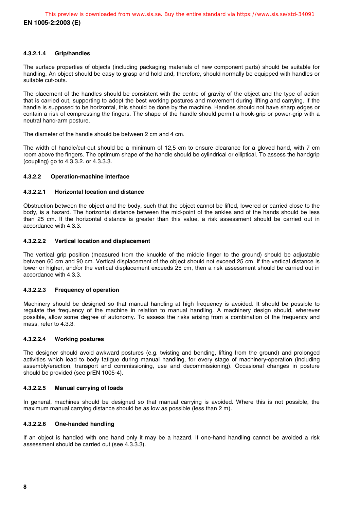#### **4.3.2.1.4 Grip/handles**

The surface properties of objects (including packaging materials of new component parts) should be suitable for handling. An object should be easy to grasp and hold and, therefore, should normally be equipped with handles or suitable cut-outs.

The placement of the handles should be consistent with the centre of gravity of the object and the type of action that is carried out, supporting to adopt the best working postures and movement during lifting and carrying. If the handle is supposed to be horizontal, this should be done by the machine. Handles should not have sharp edges or contain a risk of compressing the fingers. The shape of the handle should permit a hook-grip or power-grip with a neutral hand-arm posture.

The diameter of the handle should be between 2 cm and 4 cm.

The width of handle/cut-out should be a minimum of 12,5 cm to ensure clearance for a gloved hand, with 7 cm room above the fingers. The optimum shape of the handle should be cylindrical or elliptical. To assess the handgrip (coupling) go to 4.3.3.2. or 4.3.3.3.

#### **4.3.2.2 Operation-machine interface**

#### **4.3.2.2.1 Horizontal location and distance**

Obstruction between the object and the body, such that the object cannot be lifted, lowered or carried close to the body, is a hazard. The horizontal distance between the mid-point of the ankles and of the hands should be less than 25 cm. If the horizontal distance is greater than this value, a risk assessment should be carried out in accordance with 4.3.3.

#### **4.3.2.2.2 Vertical location and displacement**

The vertical grip position (measured from the knuckle of the middle finger to the ground) should be adjustable between 60 cm and 90 cm. Vertical displacement of the object should not exceed 25 cm. If the vertical distance is lower or higher, and/or the vertical displacement exceeds 25 cm, then a risk assessment should be carried out in accordance with 4.3.3.

#### **4.3.2.2.3 Frequency of operation**

Machinery should be designed so that manual handling at high frequency is avoided. It should be possible to regulate the frequency of the machine in relation to manual handling. A machinery design should, wherever possible, allow some degree of autonomy. To assess the risks arising from a combination of the frequency and mass, refer to 4.3.3.

#### **4.3.2.2.4 Working postures**

The designer should avoid awkward postures (e.g. twisting and bending, lifting from the ground) and prolonged activities which lead to body fatigue during manual handling, for every stage of machinery-operation (including assembly/erection, transport and commissioning, use and decommissioning). Occasional changes in posture should be provided (see prEN 1005-4).

#### **4.3.2.2.5 Manual carrying of loads**

In general, machines should be designed so that manual carrying is avoided. Where this is not possible, the maximum manual carrying distance should be as low as possible (less than 2 m).

#### **4.3.2.2.6 One-handed handling**

If an object is handled with one hand only it may be a hazard. If one-hand handling cannot be avoided a risk assessment should be carried out (see 4.3.3.3).